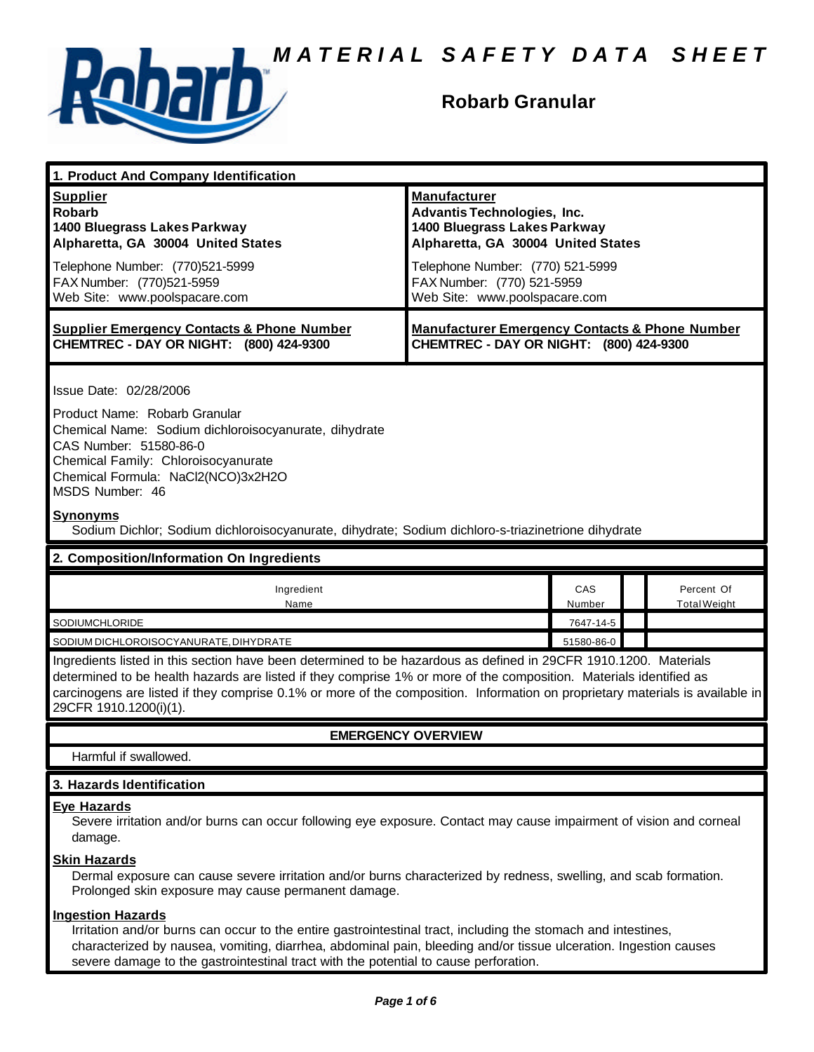

## **Robarb Granular**

| 1. Product And Company Identification                                                                                                                                                                                                                                                                                                                                                                                                                     |                                                                                                                                                                                                                                    |                            |                            |
|-----------------------------------------------------------------------------------------------------------------------------------------------------------------------------------------------------------------------------------------------------------------------------------------------------------------------------------------------------------------------------------------------------------------------------------------------------------|------------------------------------------------------------------------------------------------------------------------------------------------------------------------------------------------------------------------------------|----------------------------|----------------------------|
| <b>Supplier</b><br><b>Robarb</b><br>1400 Bluegrass Lakes Parkway<br>Alpharetta, GA 30004 United States<br>Telephone Number: (770)521-5999<br>FAX Number: (770)521-5959<br>Web Site: www.poolspacare.com                                                                                                                                                                                                                                                   | <b>Manufacturer</b><br><b>Advantis Technologies, Inc.</b><br>1400 Bluegrass Lakes Parkway<br>Alpharetta, GA 30004 United States<br>Telephone Number: (770) 521-5999<br>FAX Number: (770) 521-5959<br>Web Site: www.poolspacare.com |                            |                            |
| <b>Supplier Emergency Contacts &amp; Phone Number</b><br>CHEMTREC - DAY OR NIGHT: (800) 424-9300                                                                                                                                                                                                                                                                                                                                                          | <b>Manufacturer Emergency Contacts &amp; Phone Number</b><br>CHEMTREC - DAY OR NIGHT: (800) 424-9300                                                                                                                               |                            |                            |
| Issue Date: 02/28/2006<br>Product Name: Robarb Granular<br>Chemical Name: Sodium dichloroisocyanurate, dihydrate<br>CAS Number: 51580-86-0<br>Chemical Family: Chloroisocyanurate<br>Chemical Formula: NaCl2(NCO)3x2H2O<br>MSDS Number: 46<br><b>Synonyms</b><br>Sodium Dichlor; Sodium dichloroisocyanurate, dihydrate; Sodium dichloro-s-triazinetrione dihydrate                                                                                       |                                                                                                                                                                                                                                    |                            |                            |
| 2. Composition/Information On Ingredients                                                                                                                                                                                                                                                                                                                                                                                                                 |                                                                                                                                                                                                                                    |                            |                            |
| Ingredient<br>Name<br>SODIUMCHLORIDE                                                                                                                                                                                                                                                                                                                                                                                                                      |                                                                                                                                                                                                                                    | CAS<br>Number<br>7647-14-5 | Percent Of<br>Total Weight |
| 51580-86-0<br>SODIUM DICHLOROISOCYANURATE, DIHYDRATE<br>Ingredients listed in this section have been determined to be hazardous as defined in 29CFR 1910.1200. Materials<br>determined to be health hazards are listed if they comprise 1% or more of the composition. Materials identified as<br>carcinogens are listed if they comprise 0.1% or more of the composition. Information on proprietary materials is available in<br>29CFR 1910.1200(i)(1). |                                                                                                                                                                                                                                    |                            |                            |
| <b>EMERGENCY OVERVIEW</b>                                                                                                                                                                                                                                                                                                                                                                                                                                 |                                                                                                                                                                                                                                    |                            |                            |
| Harmful if swallowed.                                                                                                                                                                                                                                                                                                                                                                                                                                     |                                                                                                                                                                                                                                    |                            |                            |
| 3. Hazards Identification                                                                                                                                                                                                                                                                                                                                                                                                                                 |                                                                                                                                                                                                                                    |                            |                            |
| <b>Eye Hazards</b><br>Severe irritation and/or burns can occur following eye exposure. Contact may cause impairment of vision and corneal<br>damage.<br><b>Skin Hazards</b><br>Dermal exposure can cause severe irritation and/or burns characterized by redness, swelling, and scab formation.<br>Prolonged skin exposure may cause permanent damage.                                                                                                    |                                                                                                                                                                                                                                    |                            |                            |
| <b>Ingestion Hazards</b><br>Irritation and/or burns can occur to the entire gastrointestinal tract, including the stomach and intestines,                                                                                                                                                                                                                                                                                                                 |                                                                                                                                                                                                                                    |                            |                            |

characterized by nausea, vomiting, diarrhea, abdominal pain, bleeding and/or tissue ulceration. Ingestion causes severe damage to the gastrointestinal tract with the potential to cause perforation.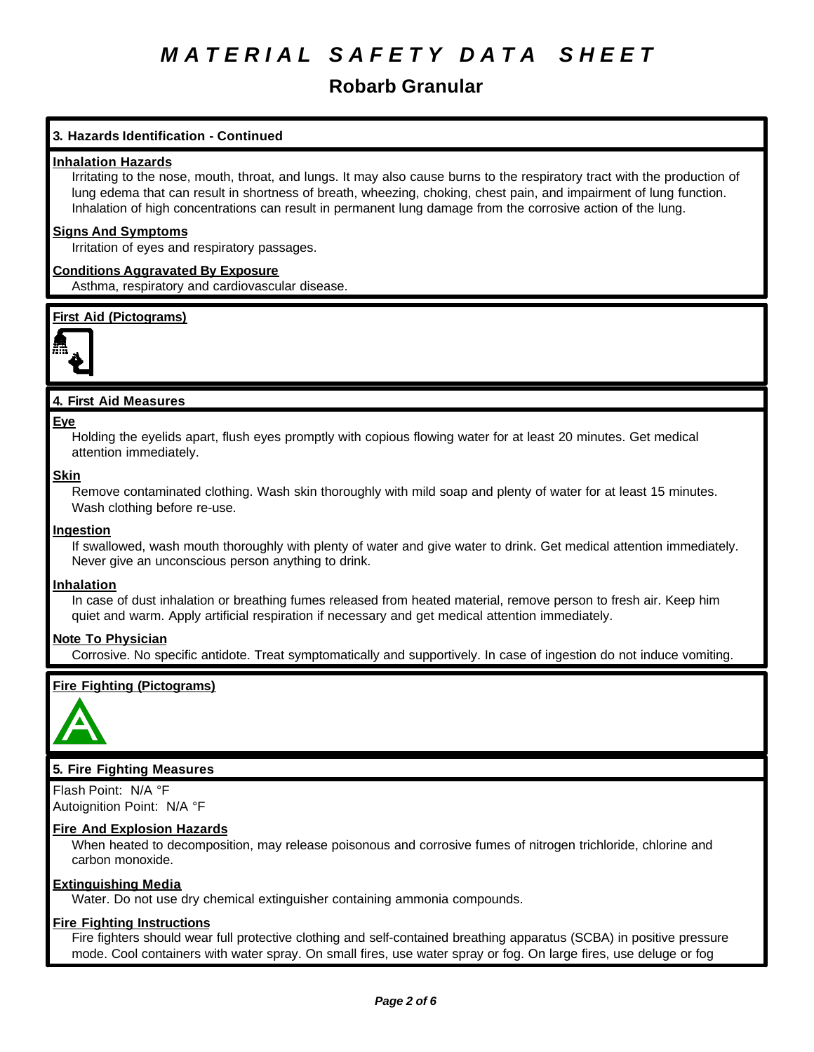## **Robarb Granular**

## **3. Hazards Identification - Continued**

## **Inhalation Hazards**

Irritating to the nose, mouth, throat, and lungs. It may also cause burns to the respiratory tract with the production of lung edema that can result in shortness of breath, wheezing, choking, chest pain, and impairment of lung function. Inhalation of high concentrations can result in permanent lung damage from the corrosive action of the lung.

## **Signs And Symptoms**

Irritation of eyes and respiratory passages.

## **Conditions Aggravated By Exposure**

Asthma, respiratory and cardiovascular disease.

## **First Aid (Pictograms)**



## **4. First Aid Measures**

#### **Eye**

Holding the eyelids apart, flush eyes promptly with copious flowing water for at least 20 minutes. Get medical attention immediately.

## **Skin**

Remove contaminated clothing. Wash skin thoroughly with mild soap and plenty of water for at least 15 minutes. Wash clothing before re-use.

## **Ingestion**

If swallowed, wash mouth thoroughly with plenty of water and give water to drink. Get medical attention immediately. Never give an unconscious person anything to drink.

## **Inhalation**

In case of dust inhalation or breathing fumes released from heated material, remove person to fresh air. Keep him quiet and warm. Apply artificial respiration if necessary and get medical attention immediately.

## **Note To Physician**

Corrosive. No specific antidote. Treat symptomatically and supportively. In case of ingestion do not induce vomiting.

## **Fire Fighting (Pictograms)**



## **5. Fire Fighting Measures**

Flash Point: N/A °F Autoignition Point: N/A °F

## **Fire And Explosion Hazards**

When heated to decomposition, may release poisonous and corrosive fumes of nitrogen trichloride, chlorine and carbon monoxide.

## **Extinguishing Media**

Water. Do not use dry chemical extinguisher containing ammonia compounds.

## **Fire Fighting Instructions**

Fire fighters should wear full protective clothing and self-contained breathing apparatus (SCBA) in positive pressure mode. Cool containers with water spray. On small fires, use water spray or fog. On large fires, use deluge or fog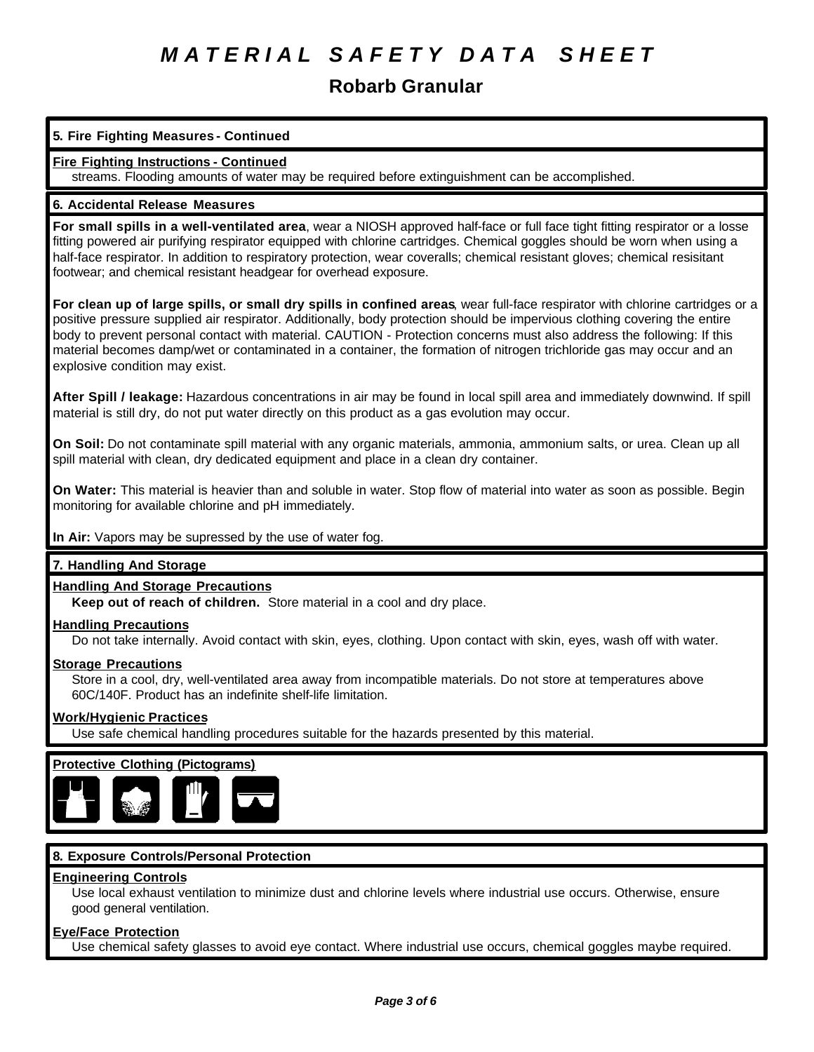## **Robarb Granular**

## **5. Fire Fighting Measures - Continued**

## **Fire Fighting Instructions - Continued**

streams. Flooding amounts of water may be required before extinguishment can be accomplished.

## **6. Accidental Release Measures**

**For small spills in a well-ventilated area**, wear a NIOSH approved half-face or full face tight fitting respirator or a losse fitting powered air purifying respirator equipped with chlorine cartridges. Chemical goggles should be worn when using a half-face respirator. In addition to respiratory protection, wear coveralls; chemical resistant gloves; chemical resisitant footwear; and chemical resistant headgear for overhead exposure.

**For clean up of large spills, or small dry spills in confined areas**, wear full-face respirator with chlorine cartridges or a positive pressure supplied air respirator. Additionally, body protection should be impervious clothing covering the entire body to prevent personal contact with material. CAUTION - Protection concerns must also address the following: If this material becomes damp/wet or contaminated in a container, the formation of nitrogen trichloride gas may occur and an explosive condition may exist.

**After Spill / leakage:** Hazardous concentrations in air may be found in local spill area and immediately downwind. If spill material is still dry, do not put water directly on this product as a gas evolution may occur.

**On Soil:** Do not contaminate spill material with any organic materials, ammonia, ammonium salts, or urea. Clean up all spill material with clean, dry dedicated equipment and place in a clean dry container.

**On Water:** This material is heavier than and soluble in water. Stop flow of material into water as soon as possible. Begin monitoring for available chlorine and pH immediately.

## **In Air:** Vapors may be supressed by the use of water fog.

## **7. Handling And Storage**

## **Handling And Storage Precautions**

**Keep out of reach of children.** Store material in a cool and dry place.

## **Handling Precautions**

Do not take internally. Avoid contact with skin, eyes, clothing. Upon contact with skin, eyes, wash off with water.

## **Storage Precautions**

Store in a cool, dry, well-ventilated area away from incompatible materials. Do not store at temperatures above 60C/140F. Product has an indefinite shelf-life limitation.

## **Work/Hygienic Practices**

Use safe chemical handling procedures suitable for the hazards presented by this material.

## **Protective Clothing (Pictograms)**



## **8. Exposure Controls/Personal Protection**

## **Engineering Controls**

Use local exhaust ventilation to minimize dust and chlorine levels where industrial use occurs. Otherwise, ensure good general ventilation.

## **Eye/Face Protection**

Use chemical safety glasses to avoid eye contact. Where industrial use occurs, chemical goggles maybe required.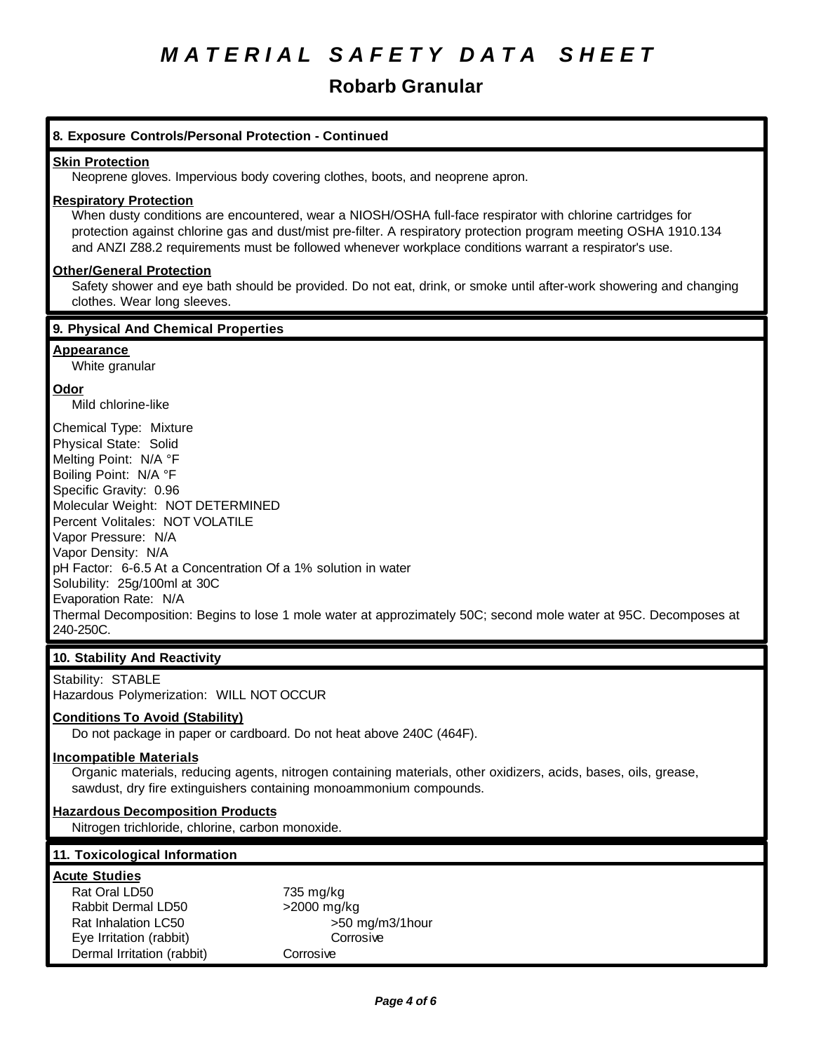# **Robarb Granular**

| 8. Exposure Controls/Personal Protection - Continued                                                                                                                                                                                                                                                                                                                                                                                                                                                       |
|------------------------------------------------------------------------------------------------------------------------------------------------------------------------------------------------------------------------------------------------------------------------------------------------------------------------------------------------------------------------------------------------------------------------------------------------------------------------------------------------------------|
| <b>Skin Protection</b><br>Neoprene gloves. Impervious body covering clothes, boots, and neoprene apron.                                                                                                                                                                                                                                                                                                                                                                                                    |
| <b>Respiratory Protection</b><br>When dusty conditions are encountered, wear a NIOSH/OSHA full-face respirator with chlorine cartridges for<br>protection against chlorine gas and dust/mist pre-filter. A respiratory protection program meeting OSHA 1910.134<br>and ANZI Z88.2 requirements must be followed whenever workplace conditions warrant a respirator's use.                                                                                                                                  |
| <b>Other/General Protection</b><br>Safety shower and eye bath should be provided. Do not eat, drink, or smoke until after-work showering and changing<br>clothes. Wear long sleeves.                                                                                                                                                                                                                                                                                                                       |
| 9. Physical And Chemical Properties                                                                                                                                                                                                                                                                                                                                                                                                                                                                        |
| <b>Appearance</b><br>White granular                                                                                                                                                                                                                                                                                                                                                                                                                                                                        |
| Odor<br>Mild chlorine-like                                                                                                                                                                                                                                                                                                                                                                                                                                                                                 |
| Chemical Type: Mixture<br>Physical State: Solid<br>Melting Point: N/A °F<br>Boiling Point: N/A °F<br>Specific Gravity: 0.96<br>Molecular Weight: NOT DETERMINED<br>Percent Volitales: NOT VOLATILE<br>Vapor Pressure: N/A<br>Vapor Density: N/A<br>pH Factor: 6-6.5 At a Concentration Of a 1% solution in water<br>Solubility: 25g/100ml at 30C<br>Evaporation Rate: N/A<br>Thermal Decomposition: Begins to lose 1 mole water at approzimately 50C; second mole water at 95C. Decomposes at<br>240-250C. |
| 10. Stability And Reactivity                                                                                                                                                                                                                                                                                                                                                                                                                                                                               |
| Stability: STABLE<br>Hazardous Polymerization: WILL NOT OCCUR                                                                                                                                                                                                                                                                                                                                                                                                                                              |
| <b>Conditions To Avoid (Stability)</b><br>Do not package in paper or cardboard. Do not heat above 240C (464F).                                                                                                                                                                                                                                                                                                                                                                                             |
| <b>Incompatible Materials</b><br>Organic materials, reducing agents, nitrogen containing materials, other oxidizers, acids, bases, oils, grease,<br>sawdust, dry fire extinguishers containing monoammonium compounds.                                                                                                                                                                                                                                                                                     |
| <b>Hazardous Decomposition Products</b><br>Nitrogen trichloride, chlorine, carbon monoxide.                                                                                                                                                                                                                                                                                                                                                                                                                |
| 11. Toxicological Information                                                                                                                                                                                                                                                                                                                                                                                                                                                                              |
| <b>Acute Studies</b><br>Rat Oral LD50<br>735 mg/kg<br>Rabbit Dermal LD50<br>>2000 mg/kg<br>Rat Inhalation LC50<br>>50 mg/m3/1hour<br>Eye Irritation (rabbit)<br>Corrosive<br>Dermal Irritation (rabbit)<br>Corrosive                                                                                                                                                                                                                                                                                       |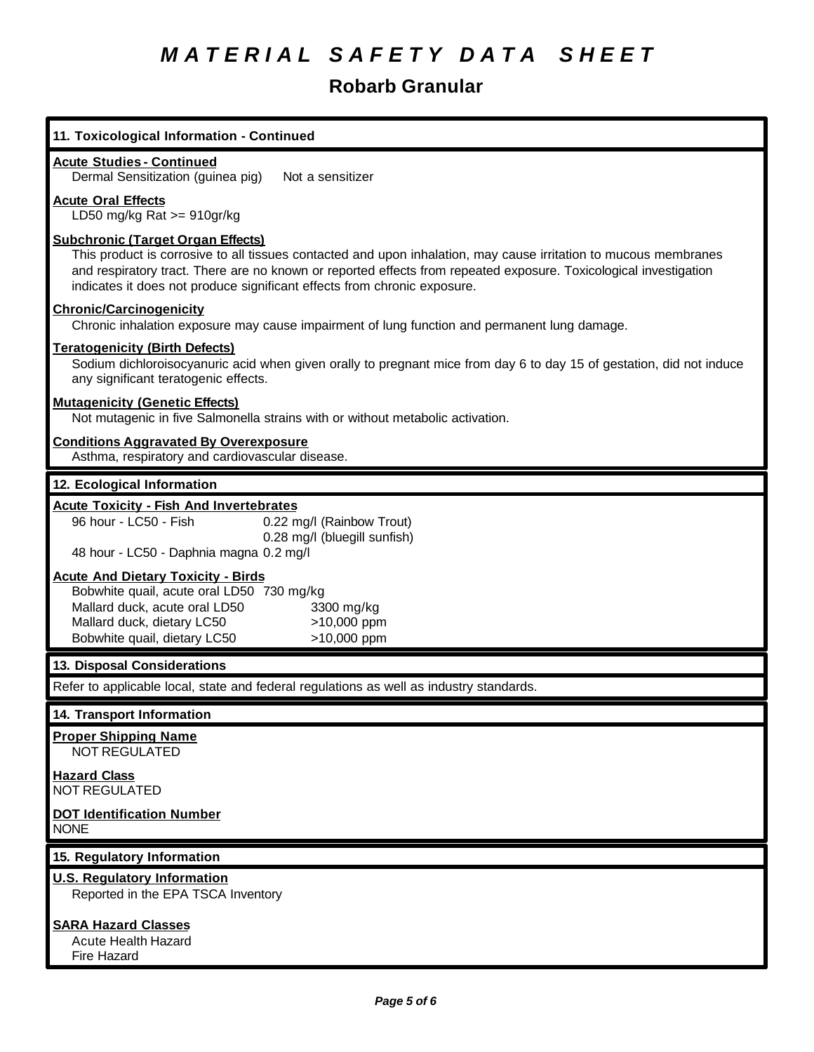# **Robarb Granular**

| 11. Toxicological Information - Continued                                                                                                                                                                                                                                                                                                                     |
|---------------------------------------------------------------------------------------------------------------------------------------------------------------------------------------------------------------------------------------------------------------------------------------------------------------------------------------------------------------|
| <b>Acute Studies - Continued</b><br>Dermal Sensitization (guinea pig)<br>Not a sensitizer                                                                                                                                                                                                                                                                     |
| <b>Acute Oral Effects</b><br>LD50 mg/kg Rat $>= 910$ gr/kg                                                                                                                                                                                                                                                                                                    |
| <b>Subchronic (Target Organ Effects)</b><br>This product is corrosive to all tissues contacted and upon inhalation, may cause irritation to mucous membranes<br>and respiratory tract. There are no known or reported effects from repeated exposure. Toxicological investigation<br>indicates it does not produce significant effects from chronic exposure. |
| <b>Chronic/Carcinogenicity</b><br>Chronic inhalation exposure may cause impairment of lung function and permanent lung damage.                                                                                                                                                                                                                                |
| <b>Teratogenicity (Birth Defects)</b><br>Sodium dichloroisocyanuric acid when given orally to pregnant mice from day 6 to day 15 of gestation, did not induce<br>any significant teratogenic effects.                                                                                                                                                         |
| <b>Mutagenicity (Genetic Effects)</b><br>Not mutagenic in five Salmonella strains with or without metabolic activation.                                                                                                                                                                                                                                       |
| <b>Conditions Aggravated By Overexposure</b><br>Asthma, respiratory and cardiovascular disease.                                                                                                                                                                                                                                                               |
| 12. Ecological Information                                                                                                                                                                                                                                                                                                                                    |
| <b>Acute Toxicity - Fish And Invertebrates</b>                                                                                                                                                                                                                                                                                                                |
| 96 hour - LC50 - Fish<br>0.22 mg/l (Rainbow Trout)                                                                                                                                                                                                                                                                                                            |
| 0.28 mg/l (bluegill sunfish)<br>48 hour - LC50 - Daphnia magna 0.2 mg/l                                                                                                                                                                                                                                                                                       |
| <b>Acute And Dietary Toxicity - Birds</b>                                                                                                                                                                                                                                                                                                                     |
| Bobwhite quail, acute oral LD50 730 mg/kg                                                                                                                                                                                                                                                                                                                     |
| Mallard duck, acute oral LD50<br>3300 mg/kg<br>Mallard duck, dietary LC50<br>>10,000 ppm                                                                                                                                                                                                                                                                      |
| Bobwhite quail, dietary LC50<br>>10,000 ppm                                                                                                                                                                                                                                                                                                                   |
| 13. Disposal Considerations                                                                                                                                                                                                                                                                                                                                   |
| Refer to applicable local, state and federal regulations as well as industry standards.                                                                                                                                                                                                                                                                       |
| 14. Transport Information                                                                                                                                                                                                                                                                                                                                     |
| <b>Proper Shipping Name</b><br>NOT REGULATED                                                                                                                                                                                                                                                                                                                  |
| <b>Hazard Class</b><br><b>NOT REGULATED</b>                                                                                                                                                                                                                                                                                                                   |
| <b>DOT Identification Number</b><br><b>NONE</b>                                                                                                                                                                                                                                                                                                               |
| 15. Regulatory Information                                                                                                                                                                                                                                                                                                                                    |
| <b>U.S. Regulatory Information</b><br>Reported in the EPA TSCA Inventory                                                                                                                                                                                                                                                                                      |
| <b>SARA Hazard Classes</b>                                                                                                                                                                                                                                                                                                                                    |
| <b>Acute Health Hazard</b>                                                                                                                                                                                                                                                                                                                                    |
| Fire Hazard                                                                                                                                                                                                                                                                                                                                                   |